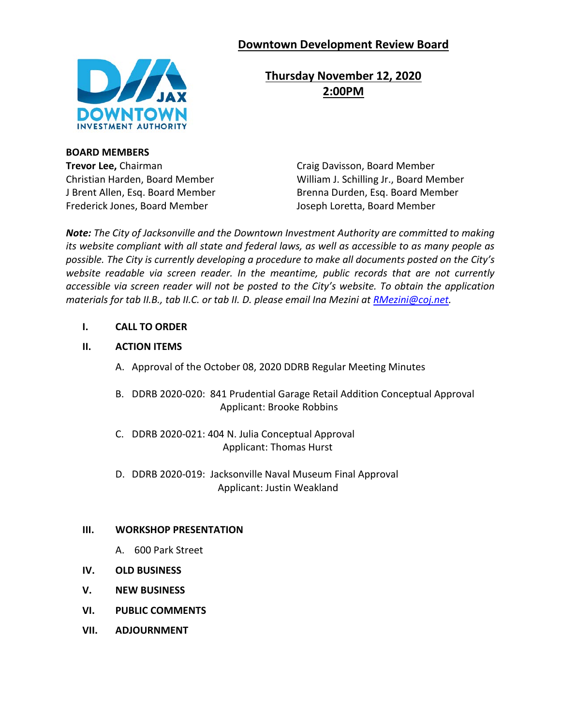# **Downtown Development Review Board**



**Thursday November 12, 2020 2:00PM**

**BOARD MEMBERS Trevor Lee, Chairman Craig Davisson, Board Member** Frederick Jones, Board Member Joseph Loretta, Board Member

Christian Harden, Board Member William J. Schilling Jr., Board Member J Brent Allen, Esq. Board Member Brenna Durden, Esq. Board Member

*Note: The City of Jacksonville and the Downtown Investment Authority are committed to making its website compliant with all state and federal laws, as well as accessible to as many people as possible. The City is currently developing a procedure to make all documents posted on the City's website readable via screen reader. In the meantime, public records that are not currently accessible via screen reader will not be posted to the City's website. To obtain the application materials for tab II.B., tab II.C. or tab II. D. please email Ina Mezini at [RMezini@coj.net.](mailto:RMezini@coj.net)*

**I. CALL TO ORDER**

## **II. ACTION ITEMS**

- A. Approval of the October 08, 2020 DDRB Regular Meeting Minutes
- B. DDRB 2020-020: 841 Prudential Garage Retail Addition Conceptual Approval Applicant: Brooke Robbins
- C. DDRB 2020-021: 404 N. Julia Conceptual Approval Applicant: Thomas Hurst
- D. DDRB 2020-019: Jacksonville Naval Museum Final Approval Applicant: Justin Weakland

### **III. WORKSHOP PRESENTATION**

- A. 600 Park Street
- **IV. OLD BUSINESS**
- **V. NEW BUSINESS**
- **VI. PUBLIC COMMENTS**
- **VII. ADJOURNMENT**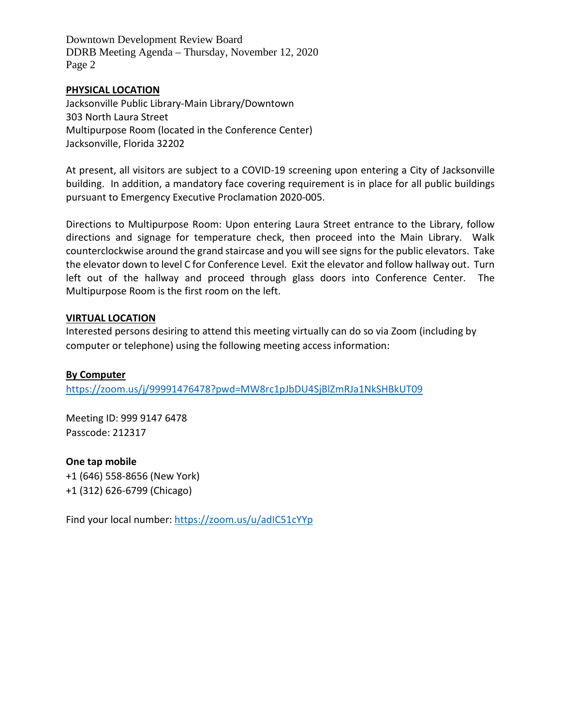Downtown Development Review Board DDRB Meeting Agenda – Thursday, November 12, 2020 Page 2

#### **PHYSICAL LOCATION**

Jacksonville Public Library-Main Library/Downtown 303 North Laura Street Multipurpose Room (located in the Conference Center) Jacksonville, Florida 32202

At present, all visitors are subject to a COVID-19 screening upon entering a City of Jacksonville building. In addition, a mandatory face covering requirement is in place for all public buildings pursuant to Emergency Executive Proclamation 2020-005.

Directions to Multipurpose Room: Upon entering Laura Street entrance to the Library, follow directions and signage for temperature check, then proceed into the Main Library. Walk counterclockwise around the grand staircase and you will see signs for the public elevators. Take the elevator down to level C for Conference Level. Exit the elevator and follow hallway out. Turn left out of the hallway and proceed through glass doors into Conference Center. The Multipurpose Room is the first room on the left.

#### **VIRTUAL LOCATION**

Interested persons desiring to attend this meeting virtually can do so via Zoom (including by computer or telephone) using the following meeting access information:

### **By Computer**

<https://zoom.us/j/99991476478?pwd=MW8rc1pJbDU4SjBlZmRJa1NkSHBkUT09>

Meeting ID: 999 9147 6478 Passcode: 212317

**One tap mobile** +1 (646) 558-8656 (New York) +1 (312) 626-6799 (Chicago)

Find your local number:<https://zoom.us/u/adIC51cYYp>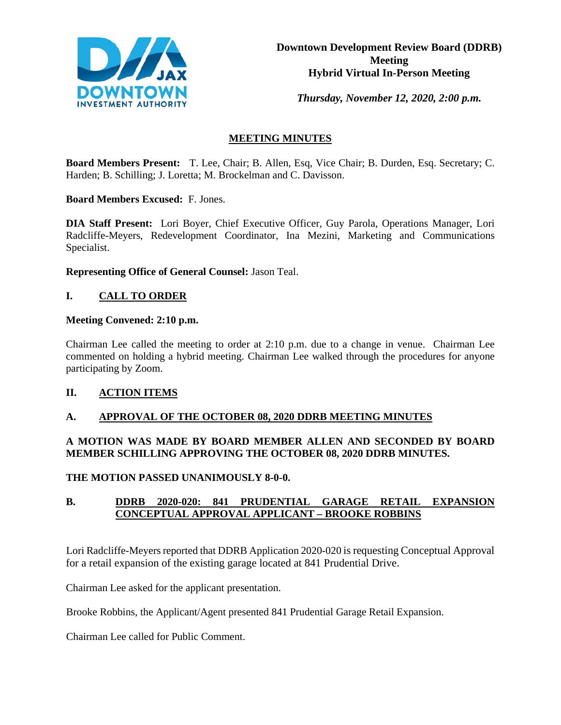

*Thursday, November 12, 2020, 2:00 p.m.* 

## **MEETING MINUTES**

**Board Members Present:** T. Lee, Chair; B. Allen, Esq, Vice Chair; B. Durden, Esq. Secretary; C. Harden; B. Schilling; J. Loretta; M. Brockelman and C. Davisson.

**Board Members Excused:** F. Jones.

**DIA Staff Present:** Lori Boyer, Chief Executive Officer, Guy Parola, Operations Manager, Lori Radcliffe-Meyers, Redevelopment Coordinator, Ina Mezini, Marketing and Communications Specialist.

**Representing Office of General Counsel:** Jason Teal.

### **I. CALL TO ORDER**

#### **Meeting Convened: 2:10 p.m.**

Chairman Lee called the meeting to order at 2:10 p.m. due to a change in venue. Chairman Lee commented on holding a hybrid meeting. Chairman Lee walked through the procedures for anyone participating by Zoom.

### **II. ACTION ITEMS**

#### **A. APPROVAL OF THE OCTOBER 08, 2020 DDRB MEETING MINUTES**

### **A MOTION WAS MADE BY BOARD MEMBER ALLEN AND SECONDED BY BOARD MEMBER SCHILLING APPROVING THE OCTOBER 08, 2020 DDRB MINUTES.**

**THE MOTION PASSED UNANIMOUSLY 8-0-0.**

### **B. DDRB 2020-020: 841 PRUDENTIAL GARAGE RETAIL EXPANSION CONCEPTUAL APPROVAL APPLICANT – BROOKE ROBBINS**

Lori Radcliffe-Meyers reported that DDRB Application 2020-020 is requesting Conceptual Approval for a retail expansion of the existing garage located at 841 Prudential Drive.

Chairman Lee asked for the applicant presentation.

Brooke Robbins, the Applicant/Agent presented 841 Prudential Garage Retail Expansion.

Chairman Lee called for Public Comment.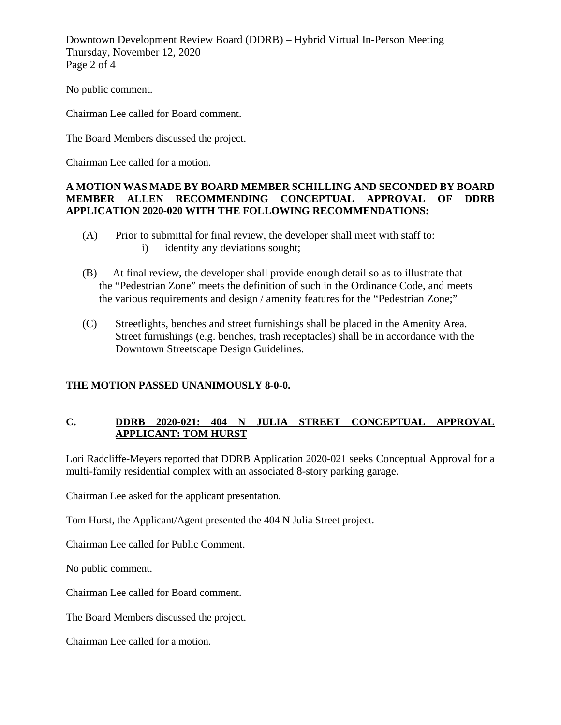Downtown Development Review Board (DDRB) – Hybrid Virtual In-Person Meeting Thursday, November 12, 2020 Page 2 of 4

No public comment.

Chairman Lee called for Board comment.

The Board Members discussed the project.

Chairman Lee called for a motion.

#### **A MOTION WAS MADE BY BOARD MEMBER SCHILLING AND SECONDED BY BOARD MEMBER ALLEN RECOMMENDING CONCEPTUAL APPROVAL OF DDRB APPLICATION 2020-020 WITH THE FOLLOWING RECOMMENDATIONS:**

- (A) Prior to submittal for final review, the developer shall meet with staff to: i) identify any deviations sought;
- (B) At final review, the developer shall provide enough detail so as to illustrate that the "Pedestrian Zone" meets the definition of such in the Ordinance Code, and meets the various requirements and design / amenity features for the "Pedestrian Zone;"
- (C) Streetlights, benches and street furnishings shall be placed in the Amenity Area. Street furnishings (e.g. benches, trash receptacles) shall be in accordance with the Downtown Streetscape Design Guidelines.

### **THE MOTION PASSED UNANIMOUSLY 8-0-0.**

### **C. DDRB 2020-021: 404 N JULIA STREET CONCEPTUAL APPROVAL APPLICANT: TOM HURST**

Lori Radcliffe-Meyers reported that DDRB Application 2020-021 seeks Conceptual Approval for a multi-family residential complex with an associated 8-story parking garage.

Chairman Lee asked for the applicant presentation.

Tom Hurst, the Applicant/Agent presented the 404 N Julia Street project.

Chairman Lee called for Public Comment.

No public comment.

Chairman Lee called for Board comment.

The Board Members discussed the project.

Chairman Lee called for a motion.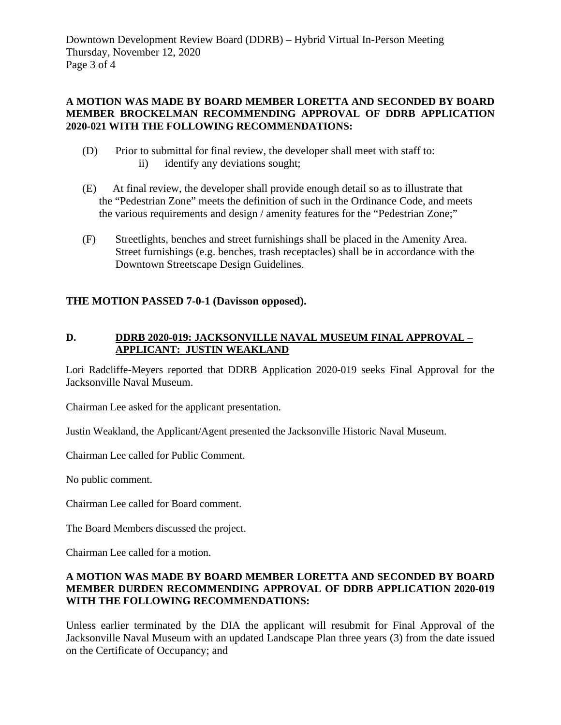Downtown Development Review Board (DDRB) – Hybrid Virtual In-Person Meeting Thursday, November 12, 2020 Page 3 of 4

### **A MOTION WAS MADE BY BOARD MEMBER LORETTA AND SECONDED BY BOARD MEMBER BROCKELMAN RECOMMENDING APPROVAL OF DDRB APPLICATION 2020-021 WITH THE FOLLOWING RECOMMENDATIONS:**

- (D) Prior to submittal for final review, the developer shall meet with staff to: ii) identify any deviations sought;
- (E) At final review, the developer shall provide enough detail so as to illustrate that the "Pedestrian Zone" meets the definition of such in the Ordinance Code, and meets the various requirements and design / amenity features for the "Pedestrian Zone;"
- (F) Streetlights, benches and street furnishings shall be placed in the Amenity Area. Street furnishings (e.g. benches, trash receptacles) shall be in accordance with the Downtown Streetscape Design Guidelines.

## **THE MOTION PASSED 7-0-1 (Davisson opposed).**

## **D. DDRB 2020-019: JACKSONVILLE NAVAL MUSEUM FINAL APPROVAL – APPLICANT: JUSTIN WEAKLAND**

Lori Radcliffe-Meyers reported that DDRB Application 2020-019 seeks Final Approval for the Jacksonville Naval Museum.

Chairman Lee asked for the applicant presentation.

Justin Weakland, the Applicant/Agent presented the Jacksonville Historic Naval Museum.

Chairman Lee called for Public Comment.

No public comment.

Chairman Lee called for Board comment.

The Board Members discussed the project.

Chairman Lee called for a motion.

### **A MOTION WAS MADE BY BOARD MEMBER LORETTA AND SECONDED BY BOARD MEMBER DURDEN RECOMMENDING APPROVAL OF DDRB APPLICATION 2020-019 WITH THE FOLLOWING RECOMMENDATIONS:**

Unless earlier terminated by the DIA the applicant will resubmit for Final Approval of the Jacksonville Naval Museum with an updated Landscape Plan three years (3) from the date issued on the Certificate of Occupancy; and